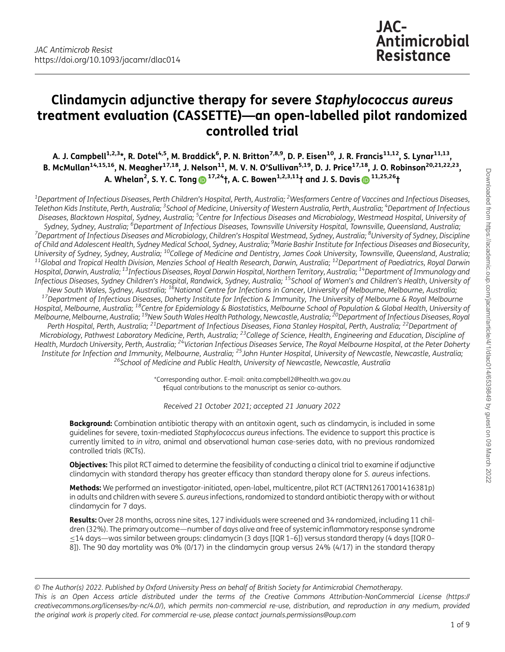# Clindamycin adjunctive therapy for severe Staphylococcus aureus treatment evaluation (CASSETTE)—an open-labelled pilot randomized controlled trial

A. J. Campbell<sup>1,2,3</sup>\*, R. Dotel<sup>4,5</sup>, M. Braddick<sup>6</sup>, P. N. Britton<sup>7,8,9</sup>, D. P. Eisen<sup>10</sup>, J. R. Francis<sup>11,12</sup>, S. Lynar<sup>11,13</sup>, B. McMullan<sup>14,15,16</sup>, N. Meagher<sup>17,18</sup>, J. Nelson<sup>11</sup>, M. V. N. O'Sullivan<sup>5,19</sup>, D. J. Price<sup>17,18</sup>, J. O. Robinson<sup>20,21,22,23</sup>, A. Whelan<sup>2</sup>, S. Y. C. Tong  $\textcircled{\scriptsize{1}}^{17,24}$ †, A. C. Bowen $^{1,2,3,11}$ † and J. S. Davis  $\textcircled{\scriptsize{1}}^{11,25,26}$ †

 $^{\rm 1}$ Department of Infectious Diseases, Perth Children's Hospital, Perth, Australia;  $^{\rm 2}$ Wesfarmers Centre of Vaccines and Infectious Diseases, Telethon Kids Institute, Perth, Australia; <sup>3</sup>School of Medicine, University of Western Australia, Perth, Australia; <sup>4</sup>Department of Infectious Diseases, Blacktown Hospital, Sydney, Australia; <sup>5</sup>Centre for Infectious Diseases and Microbiology, Westmead Hospital, University of Sydney, Sydney, Australia; <sup>6</sup>Department of Infectious Diseases, Townsyille University Hospital, Townsyille, Queensland, Australia; Sydney, Sydney, Australia; °Department of Infectious Diseases, Townsville University Hospital, Townsville, Queensland, Australia;<br>Department of Infectious Diseases and Microbiology, Children's Hospital Westmead, Sydney, Au of Child and Adolescent Health, Sydney Medical School, Sydney, Australia; <sup>9</sup>Marie Bashir Institute for Infectious Diseases and Biosecurity, University of Sydney, Sydney, Australia; <sup>10</sup>College of Medicine and Dentistry, James Cook University, Townsville, Queensland, Australia;<br><sup>11</sup>Global and Tropical Health Division. Menzies School of Health Research. Darwin. Hospital, Darwin, Australia; <sup>13</sup>Infectious Diseases, Royal Darwin Hospital, Northern Territory, Australia; <sup>14</sup>Department of Immunology and Infectious Diseases, Sydney Children's Hospital, Randwick, Sydney, Australia; <sup>15</sup>School of Women's and Children's Health, University of New South Wales, Sydney, Australia; <sup>16</sup>National Centre for Infections in Cancer, Uni <sup>17</sup>Department of Infectious Diseases, Doherty Institute for Infection & Immunity, The University of Melbourne & Royal Melbourne Hospital, Melbourne, Australia; <sup>18</sup>Centre for Epidemiology & Biostatistics, Melbourne School of Population & Global Health, University of Melbourne, Melbourne, Australia; <sup>19</sup>New South Wales Health Pathology, Newcastle, Australia; <sup>20</sup>Department of Infectious Diseases, Royal Perth Hospital, Perth, Australia; 21Department of Infectious Diseases, Fiona Stanley Hospital, Perth, Australia; 22Department of Microbiology, Pathwest Laboratory Medicine, Perth, Australia; <sup>23</sup>College of Science, Health, Engineering and Education, Discipline of Health, Murdoch University, Perth, Australia; <sup>24</sup>Victorian Infectious Diseases Service, The Royal Melbourne Hospital, at the Peter Doherty Institute for Infection and Immunity, Melbourne, Australia; <sup>25</sup>John Hunter Hospital, University of Newcastle, Newcastle, Australia;<br><sup>26</sup>School of Medicine and Public Health, University of Newcastle, Newcastle, Australia

> \*Corresponding author. E-mail: [anita.campbell2@health.wa.gov.au](mailto:anita.campbell2@health.wa.gov.au) †Equal contributions to the manuscript as senior co-authors.

Received 21 October 2021; accepted 21 January 2022

**Background:** Combination antibiotic therapy with an antitoxin agent, such as clindamycin, is included in some guidelines for severe, toxin-mediated Staphylococcus aureus infections. The evidence to support this practice is currently limited to in vitro, animal and observational human case-series data, with no previous randomized controlled trials (RCTs).

**Objectives:** This pilot RCT aimed to determine the feasibility of conducting a clinical trial to examine if adjunctive clindamycin with standard therapy has greater efficacy than standard therapy alone for S. aureus infections.

Methods: We performed an investigator-initiated, open-label, multicentre, pilot RCT (ACTRN12617001416381p) in adults and children with severe S. aureus infections, randomized to standard antibiotic therapy with or without clindamycin for 7 days.

Results: Over 28 months, across nine sites, 127 individuals were screened and 34 randomized, including 11 children (32%). The primary outcome—number of days alive and free of systemic inflammatory response syndrome ≤14 days—was similar between groups: clindamycin (3 days [IQR 1–6]) versus standard therapy (4 days [IQR 0– 8]). The 90 day mortality was 0% (0/17) in the clindamycin group versus 24% (4/17) in the standard therapy

© The Author(s) 2022. Published by Oxford University Press on behalf of British Society for Antimicrobial Chemotherapy. This is an Open Access article distributed under the terms of the Creative Commons Attribution-NonCommercial License ([https://](https://creativecommons.org/licenses/by-nc/4.0/) [creativecommons.org/licenses/by-nc/4.0/\)](https://creativecommons.org/licenses/by-nc/4.0/), which permits non-commercial re-use, distribution, and reproduction in any medium, provided the original work is properly cited. For commercial re-use, please contact journals.permissions@oup.com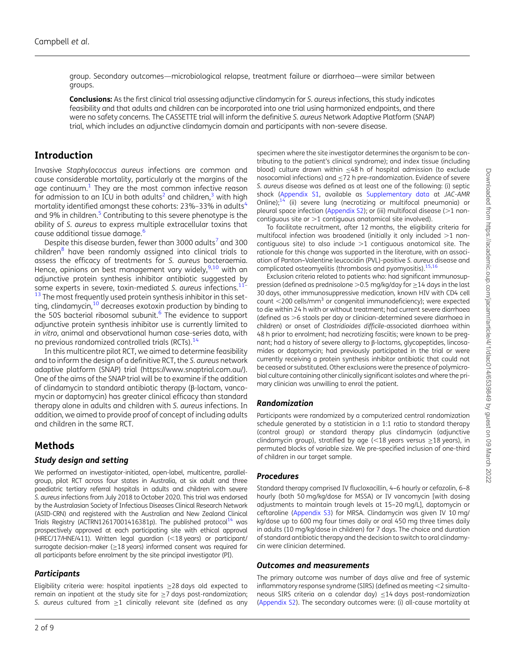group. Secondary outcomes—microbiological relapse, treatment failure or diarrhoea—were similar between groups.

Conclusions: As the first clinical trial assessing adjunctive clindamycin for S. aureus infections, this study indicates feasibility and that adults and children can be incorporated into one trial using harmonized endpoints, and there were no safety concerns. The CASSETTE trial will inform the definitive S. aureus Network Adaptive Platform (SNAP) trial, which includes an adjunctive clindamycin domain and participants with non-severe disease.

# Introduction

<span id="page-1-2"></span><span id="page-1-1"></span><span id="page-1-0"></span>Invasive Staphylococcus aureus infections are common and cause considerable mortality, particularly at the margins of the age continuum.<sup>[1](#page-7-0)</sup> They are the most common infective reason for admission to an ICU in both adults<sup>[2](#page-7-0)</sup> and children,<sup>[3](#page-7-0)</sup> with high mortality identified amongst these cohorts:  $23\% - 33\%$  in adults<sup>4</sup> and 9% in children.<sup>5</sup> Contributing to this severe phenotype is the ability of S. aureus to express multiple extracellular toxins that cause additional tissue damage.<sup>[6](#page-7-0)</sup>

<span id="page-1-9"></span><span id="page-1-7"></span><span id="page-1-6"></span><span id="page-1-5"></span><span id="page-1-3"></span>Despite this disease burden, fewer than 3000 adults<sup>[7](#page-7-0)</sup> and 300 children $8$  have been randomly assigned into clinical trials to assess the efficacy of treatments for S. aureus bacteraemia. Hence, opinions on best management vary widely,  $9,10$  $9,10$  with an adjunctive protein synthesis inhibitor antibiotic suggested by some experts in severe, toxin-mediated S. aureus infections.<sup>11</sup> <sup>[13](#page-7-0)</sup> The most frequently used protein synthesis inhibitor in this setting, clindamycin, $10$  decreases exotoxin production by binding to the 50S bacterial ribosomal subunit.<sup>[6](#page-7-0)</sup> The evidence to support adjunctive protein synthesis inhibitor use is currently limited to in vitro, animal and observational human case-series data, with no previous randomized controlled trials (RCTs).<sup>[14](#page-7-0)</sup>

<span id="page-1-8"></span><span id="page-1-4"></span>In this multicentre pilot RCT, we aimed to determine feasibility and to inform the design of a definitive RCT, the S. aureus network adaptive platform (SNAP) trial [\(https://www.snaptrial.com.au/](https://www.snaptrial.com.au/)). One of the aims of the SNAP trial will be to examine if the addition of clindamycin to standard antibiotic therapy (β-lactam, vancomycin or daptomycin) has greater clinical efficacy than standard therapy alone in adults and children with S. aureus infections. In addition, we aimed to provide proof of concept of including adults and children in the same RCT.

# Methods

#### Study design and setting

We performed an investigator-initiated, open-label, multicentre, parallelgroup, pilot RCT across four states in Australia, at six adult and three paediatric tertiary referral hospitals in adults and children with severe S. aureus infections from July 2018 to October 2020. This trial was endorsed by the Australasian Society of Infectious Diseases Clinical Research Network (ASID-CRN) and registered with the Australian and New Zealand Clinical Trials Registry (ACTRN1261700[14](#page-7-0)16381p). The published protocol<sup>14</sup> was prospectively approved at each participating site with ethical approval (HREC/17/HNE/411). Written legal guardian (<18 years) or participant/ surrogate decision-maker ( $\geq$ 18 years) informed consent was required for all participants before enrolment by the site principal investigator (PI).

#### **Participants**

Eligibility criteria were: hospital inpatients ≥28 days old expected to remain an inpatient at the study site for  $\geq$ 7 days post-randomization; S. aureus cultured from  $\geq$ 1 clinically relevant site (defined as any

specimen where the site investigator determines the organism to be contributing to the patient's clinical syndrome); and index tissue (including blood) culture drawn within ≤48 h of hospital admission (to exclude nosocomial infections) and ≤72 h pre-randomization. Evidence of severe S. aureus disease was defined as at least one of the following: (i) septic shock ([Appendix S1](http://academic.oup.com/jacamr/article-lookup/doi/10.1093/jacamr/dlac014#supplementary-data), available as [Supplementary data](http://academic.oup.com/jacamr/article-lookup/doi/10.1093/jacamr/dlac014#supplementary-data) at JAC-AMR Online); $14$  (ii) severe lung (necrotizing or multifocal pneumonia) or pleural space infection [\(Appendix S2](http://academic.oup.com/jacamr/article-lookup/doi/10.1093/jacamr/dlac014#supplementary-data)); or (iii) multifocal disease ( $>1$  noncontiguous site or  $>1$  contiguous anatomical site involved).

<span id="page-1-10"></span>To facilitate recruitment, after 12 months, the eligibility criteria for multifocal infection was broadened (initially it only included  $>1$  noncontiguous site) to also include  $>1$  contiguous anatomical site. The rationale for this change was supported in the literature, with an association of Panton–Valentine leucocidin (PVL)-positive S. aureus disease and complicated osteomyelitis (thrombosis and pyomyositis).<sup>15,1</sup>

<span id="page-1-11"></span>Exclusion criteria related to patients who: had significant immunosuppression (defined as prednisolone  $>$ 0.5 mg/kg/day for  $\geq$ 14 days in the last 30 days, other immunosuppressive medication, known HIV with CD4 cell count  $<$ 200 cells/mm<sup>3</sup> or congenital immunodeficiency); were expected to die within 24 h with or without treatment; had current severe diarrhoea (defined as  $>6$  stools per day or clinician-determined severe diarrhoea in children) or onset of Clostridioides difficile-associated diarrhoea within 48 h prior to enrolment; had necrotizing fasciitis; were known to be pregnant; had a history of severe allergy to β-lactams, glycopeptides, lincosamides or daptomycin; had previously participated in the trial or were currently receiving a protein synthesis inhibitor antibiotic that could not be ceased or substituted. Other exclusions were the presence of polymicrobial culture containing other clinically significant isolates and where the primary clinician was unwilling to enrol the patient.

#### Randomization

Participants were randomized by a computerized central randomization schedule generated by a statistician in a 1:1 ratio to standard therapy (control group) or standard therapy plus clindamycin (adjunctive clindamycin group), stratified by age (<18 years versus  $\geq$ 18 years), in permuted blocks of variable size. We pre-specified inclusion of one-third of children in our target sample.

#### Procedures

Standard therapy comprised IV flucloxacillin, 4–6 hourly or cefazolin, 6–8 hourly (both 50 mg/kg/dose for MSSA) or IV vancomycin [with dosing adjustments to maintain trough levels at 15–20 mg/L], daptomycin or ceftaroline ([Appendix S3](http://academic.oup.com/jacamr/article-lookup/doi/10.1093/jacamr/dlac014#supplementary-data)) for MRSA. Clindamycin was given IV 10 mg/ kg/dose up to 600 mg four times daily or oral 450 mg three times daily in adults (10 mg/kg/dose in children) for 7 days. The choice and duration of standard antibiotic therapy and the decision to switch to oral clindamycin were clinician determined.

#### Outcomes and measurements

The primary outcome was number of days alive and free of systemic inflammatory response syndrome (SIRS) (defined as meeting  $<$  2 simultaneous SIRS criteria on a calendar day) ≤14 days post-randomization [\(Appendix S2](http://academic.oup.com/jacamr/article-lookup/doi/10.1093/jacamr/dlac014#supplementary-data)). The secondary outcomes were: (i) all-cause mortality at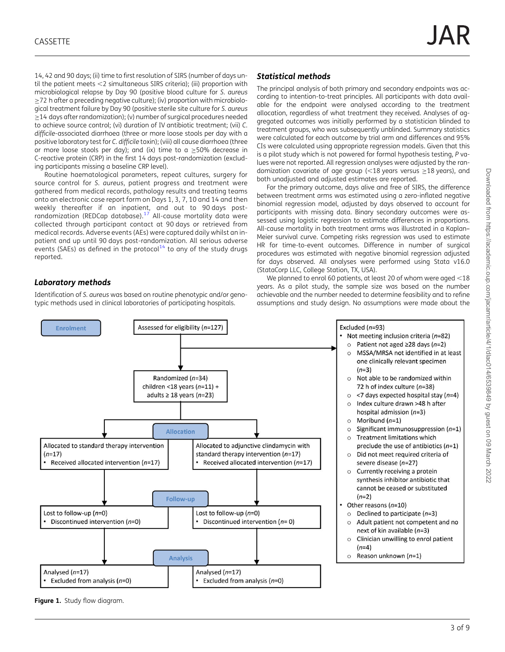<span id="page-2-0"></span>14, 42 and 90 days; (ii) time to first resolution of SIRS (number of days until the patient meets  $<$ 2 simultaneous SIRS criteria); (iii) proportion with microbiological relapse by Day 90 (positive blood culture for S. aureus ≥72 h after a preceding negative culture); (iv) proportion with microbiological treatment failure by Day 90 (positive sterile site culture for S. aureus ≥14 days after randomization); (v) number of surgical procedures needed to achieve source control; (vi) duration of IV antibiotic treatment; (vii) C. difficile-associated diarrhoea (three or more loose stools per day with a positive laboratory test for C. difficile toxin); (viii) all cause diarrhoea (three or more loose stools per day); and (ix) time to a ≥50% decrease in C-reactive protein (CRP) in the first 14 days post-randomization (excluding participants missing a baseline CRP level).

<span id="page-2-1"></span>Routine haematological parameters, repeat cultures, surgery for source control for S. aureus, patient progress and treatment were gathered from medical records, pathology results and treating teams onto an electronic case report form on Days 1, 3, 7, 10 and 14 and then weekly thereafter if an inpatient, and out to 90 days postrandomization (REDCap database).[17](#page-7-0) All-cause mortality data were collected through participant contact at 90 days or retrieved from medical records. Adverse events (AEs) were captured daily whilst an inpatient and up until 90 days post-randomization. All serious adverse events (SAEs) as defined in the protocol<sup>[14](#page-7-0)</sup> to any of the study drugs reported.

#### Laboratory methods

Identification of S. aureus was based on routine phenotypic and/or genotypic methods used in clinical laboratories of participating hospitals.

#### Statistical methods

The principal analysis of both primary and secondary endpoints was according to intention-to-treat principles. All participants with data available for the endpoint were analysed according to the treatment allocation, regardless of what treatment they received. Analyses of aggregated outcomes was initially performed by a statistician blinded to treatment groups, who was subsequently unblinded. Summary statistics were calculated for each outcome by trial arm and differences and 95% CIs were calculated using appropriate regression models. Given that this is a pilot study which is not powered for formal hypothesis testing, P values were not reported. All regression analyses were adjusted by the randomization covariate of age group (<18 years versus  $\geq$ 18 years), and both unadjusted and adjusted estimates are reported.

For the primary outcome, days alive and free of SIRS, the difference between treatment arms was estimated using a zero-inflated negative binomial regression model, adjusted by days observed to account for participants with missing data. Binary secondary outcomes were assessed using logistic regression to estimate differences in proportions. All-cause mortality in both treatment arms was illustrated in a Kaplan– Meier survival curve. Competing risks regression was used to estimate HR for time-to-event outcomes. Difference in number of surgical procedures was estimated with negative binomial regression adjusted for days observed. All analyses were performed using Stata v16.0 (StataCorp LLC, College Station, TX, USA).

We planned to enrol 60 patients, at least 20 of whom were aged  $<$ 18 years. As a pilot study, the sample size was based on the number achievable and the number needed to determine feasibility and to refine assumptions and study design. No assumptions were made about the



Figure 1. Study flow diagram.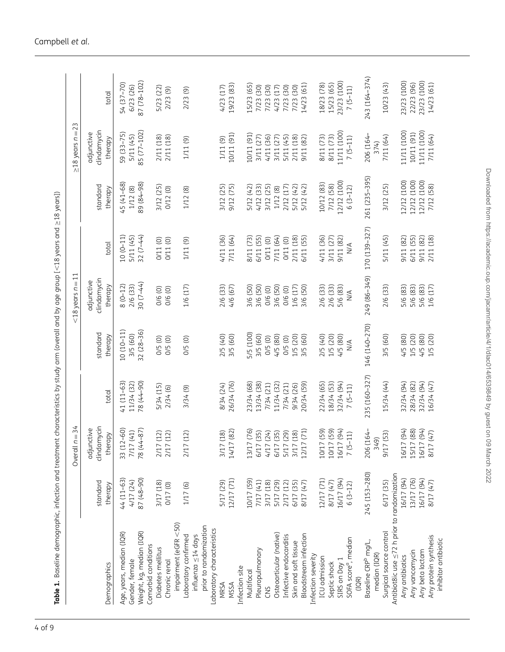<span id="page-3-0"></span>

|                                                    |                     | Overall $n = 34$                                                           |               |                     | $<$ 18 years $n = 11$                |               |                     | $\geq$ 18 years n = 23               |               |
|----------------------------------------------------|---------------------|----------------------------------------------------------------------------|---------------|---------------------|--------------------------------------|---------------|---------------------|--------------------------------------|---------------|
| Demographics                                       | standard<br>therapy | clindamycin<br>adjunctive<br>therapy                                       | total         | standard<br>therapy | clindamycin<br>adjunctive<br>therapy | total         | standard<br>therapy | clindamycin<br>adjunctive<br>therapy | total         |
| Age, years, median (IQR)                           | $44(11-63)$         | 33 (12-60)                                                                 | $41(11-63)$   | $10(10-11)$         | $8(0-12)$                            | $10(0-11)$    | $45(41-68)$         | 59 (33–75)                           | 54 (37–70)    |
| Gender, female                                     | 4/17 (24)           | 7/17 (41)                                                                  | 11/34 (32)    | 3/5 (60)            | 2/6 (33)                             | 5/11 (45)     | 1/12(8)             | 5/11 (45)                            | 6/23 (26)     |
| Weight, kg, median (IQR)                           | 87 (48-90)          | 78 (44-87)                                                                 | 78 (44-90)    | $32(28-36)$         | 30 (7-44)                            | 32 $(7-44)$   | 89 (84-98)          | 85 (77-102)                          | 87 (78-102)   |
| Comorbid conditions                                |                     |                                                                            |               |                     |                                      |               |                     |                                      |               |
| Diabetes mellitus                                  | 3/17 (18)           |                                                                            | 5/34 (15)     | $O/5$ $(O)$         | 0/6 (0)                              | 0/11 (0)      | 3/12 (25)           | 2/11 (18)                            | 5/23 (22)     |
| Chronic renal                                      | 0/17 (0)            | $\overline{2}$<br>$\begin{array}{c} 2/17 \ (1 \\ 2/17 \ (1 \\ \end{array}$ | 2/34(6)       | 0/5 (0)             | 0/6 (0)                              | 0/11(0)       | 0/12(0)             | 2/11 (18)                            | 2/23(9)       |
| $impairment$ (eGFR $<$ 50)                         |                     |                                                                            |               |                     |                                      |               |                     |                                      |               |
| Laboratory confirmed                               | 1/17 (6)            | $\widehat{\sim}$<br>2/17 (1                                                | 3/34(9)       | 0/5(0)              | 1/6 (17)                             | 1/11 (9)      | 1/12 (8)            | 1/11 (9)                             | 2/23 (9)      |
| influenza ≤14 days                                 |                     |                                                                            |               |                     |                                      |               |                     |                                      |               |
| prior to randomization                             |                     |                                                                            |               |                     |                                      |               |                     |                                      |               |
| Laboratory characteristics                         |                     |                                                                            |               |                     |                                      |               |                     |                                      |               |
| <b>MRSA</b>                                        | 5/17 (29)           | $\widehat{\infty}$<br>3/17 (1                                              | 8/34 (24)     | 2/5 (40)            | 2/6 (33)                             | 4/11 (36)     | 3/12 (25)           | 1/11 (9)                             | 4/23 (17)     |
| <b>MSSA</b>                                        | 12/17 (71)          | 14/17 (82)                                                                 | 26/34 (76)    | 3/5 (60)            | 4/6 (67)                             | 7/11 (64)     | 9/12 (75)           | 10/11 (91)                           | 19/23 (83)    |
| Infection site                                     |                     |                                                                            |               |                     |                                      |               |                     |                                      |               |
| Multifocal                                         | 10/17 (59)          | 13/17 (76)                                                                 | 23/34 (68)    | 5/5 (100)           | 3/6 (50)                             | 3/11 (73)     | 5/12 (42)           | 10/11 (91)                           | 15/23 (65)    |
| Pleuropulmonary                                    | 7/17(41)            | $\overline{\Omega}$<br>6/17(3                                              | 13/34 (38)    | 3/5 (60)            | 3/6 (50)                             | 5/11 (55)     | 4/12(33)            | 3/11 (27)                            | 7/23 (30)     |
| CNS                                                | 3/17 (18)           | 4/17 (24)                                                                  | 7/34 (21)     | 0/5(0)              | 0/6 (0)                              | 0/11(0)       | 3/12 (25)           | 4/11 (36)                            | 7/23 (30)     |
| Osteoarticular (native)                            | 5/17 (29)           |                                                                            | 11/34 (32)    | 4/5 (80)            | 3/6 (50)                             | 7/11 (64)     | 1/12(8)             | 3/11 (27)                            | 4/23 (17)     |
| Infective endocarditis                             | 2/17(12)            | 6/17 (35)<br>5/17 (29)<br>3/17 (18)                                        | 7/34 (21)     | $O/5$ $(0)$         | 0/6 (0)                              | 0/11(0)       | 2/12 (17)           | 5/11 (45)                            | 7/23 (30)     |
| Skin and soft tissue                               | 6/17 (35)           |                                                                            | 9/34 (26)     | 1/5 (20)            | 1/6 (17)                             | 2/11 (18)     | 5/12 (42)           | 2/11 (18)                            | 7/23 (30)     |
| Bloodstream infection                              | 8/17 (47)           | 12/17 (71)                                                                 | 20/34 (59)    | 3/5 (60)            | 3/6 (50)                             | 5/11 (55)     | 5/12 (42)           | 9/11 (82)                            | 14/23 (61)    |
| Infection severity                                 |                     |                                                                            |               |                     |                                      |               |                     |                                      |               |
| ICU admission                                      | 12/17 (71)          | 59)<br>10/17 (                                                             | 22/34 (65)    | 2/5 (40)            | 2/6 (33)                             | 4/11 (36)     | 10/12 (83)          | 8/11 (73)                            | 18/23 (78)    |
| Septic shock                                       | 8/17 (47)           | 59)<br>10/17 (                                                             | 18/34 (53)    | 1/5 (20)            | 2/6 (33)                             | 3/11 (27)     | 7/12 (58)           | 8/11 (73)<br>11/11 (100)             | 15/23 (65)    |
| SIRS on Day 1                                      | 16/17 (94)          | 94)<br>16/17 (                                                             | 32/34 (94)    | 4/5 (80)            | 5/6 (83)                             | 9/11 (82)     | 12/12 (100)         |                                      | 23/23 (100)   |
| SOFA score <sup>a</sup> , median                   | $6(3-12)$           | $7(5-11)$                                                                  | $7(5-11)$     | $\leq$              | $\frac{4}{2}$                        | $\leq$        | $6(3-12)$           | $7(5-11)$                            | $7(5-11)$     |
| (IQR)                                              |                     |                                                                            |               |                     |                                      |               |                     |                                      |               |
| Baseline CRP <sup>b</sup> mg/L,                    | 245 (153-280)       | 206 (164-                                                                  | 235 (160-327) | 146 (140-270)       | 249 (86-349)                         | 170 (139-327) | 261 (235-395)       | 206 (164-                            | 243 (164-374) |
| median (IQR)                                       |                     | 349)                                                                       |               |                     |                                      |               |                     | 374)                                 |               |
| Surgical source control                            | 6/17 (35)           | 9/17 (53)                                                                  | 15/34 (44)    | 3/5 (60)            | 2/6 (33)                             | 5/11 (45)     | 3/12 (25)           | 7/11 (64)                            | 10/23(43)     |
| Antibiot8ic use $\leq$ 72 h prior to randomization |                     |                                                                            |               |                     |                                      |               |                     |                                      |               |
| Any antibiotics                                    | 16/17 (94)          | 16/17 (94)                                                                 | 32/34 (94)    | 4/5(80)             | 5/6 (83)                             | (28) 11/6     | 12/12 (100)         | 11/11 (100)                          | 23/23 (100)   |
| Any vancomycin                                     | 13/17 (76)          | 15/17 (88)                                                                 | 28/34 (82)    | 1/5 (20)            | 5/6 (83)                             | 5/11 (55)     | 12/12 (100)         | 10/11 (91)                           | 22/23 (96)    |
| Any beta lactam                                    | 16/17 (94)          | 16/17 (94)                                                                 | 32/34 (94)    | 4/5 (80)            | 5/6 (83)                             | 9/11 (82)     | 12/12 (100)         | 11/11 (100)                          | 23/23 (100)   |
| Any protein synthesis                              | 8/17 (47)           | 8/17 (47)                                                                  | 16/34 (47)    | 1/5 (20)            | 1/6 (17)                             | (18)<br>2/11  | 7/12 (58)           | 7/11 (64)                            | 14/23 (61)    |
| inhibitor antibiotic                               |                     |                                                                            |               |                     |                                      |               |                     |                                      |               |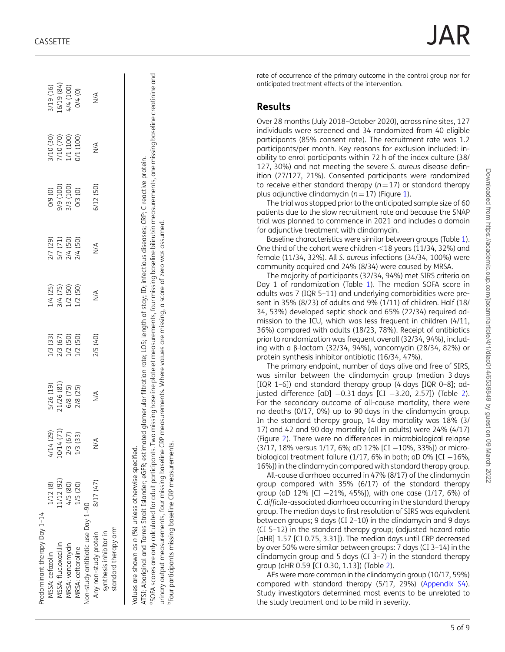| Predominant therapy Day 1-14                                                                                                                                    |           |           |                                                 |                                              |                                              |                                              |                                              |                                                  |                                                 |  |
|-----------------------------------------------------------------------------------------------------------------------------------------------------------------|-----------|-----------|-------------------------------------------------|----------------------------------------------|----------------------------------------------|----------------------------------------------|----------------------------------------------|--------------------------------------------------|-------------------------------------------------|--|
| vISSA: cefazolin                                                                                                                                                | 1/12 (8)  | 4/14 (29) |                                                 |                                              |                                              |                                              |                                              |                                                  |                                                 |  |
| MSSA: flucloxacillin                                                                                                                                            | (1/12(92) | 0/14(71)  |                                                 |                                              |                                              |                                              |                                              |                                                  |                                                 |  |
| VRSA: vancomycin                                                                                                                                                | 4/5 (80)  | 2/3 (67)  | 5/26 (19)<br>21/26 (81)<br>6/8 (75)<br>2/8 (25) | 1/3 (33)<br>2/3 (67)<br>1/2 (50)<br>1/2 (50) | 1/4 (25)<br>3/4 (75)<br>1/2 (50)<br>1/2 (50) | 2/7 (29)<br>5/7 (71)<br>2/4 (50)<br>2/4 (50) | 0/9 (0)<br>9/9 (100)<br>3/3 (100)<br>0/3 (0) | 3/10 (30)<br>7/10 (70)<br>1/1 (100)<br>0/1 (100) | 3/19 (16)<br>16/19 (84)<br>4/4 (100)<br>0/4 (0) |  |
| VIRSA: ceftaroline                                                                                                                                              | 1/5 (20)  | 1/3 (33)  |                                                 |                                              |                                              |                                              |                                              |                                                  |                                                 |  |
| Non-study antibiotic use Day 1-90                                                                                                                               |           |           |                                                 |                                              |                                              |                                              |                                              |                                                  |                                                 |  |
| synthesis inhibitor in<br>Any non-study protein                                                                                                                 | 8/17 (47) | N/A       | ⋚                                               | 2/5 (40)                                     | $\stackrel{\triangle}{\geq}$                 | $\leq$                                       | 5/12 (50)                                    | $\stackrel{\triangle}{\geq}$                     | $\stackrel{\triangle}{\geq}$                    |  |
| standard therapy arm                                                                                                                                            |           |           |                                                 |                                              |                                              |                                              |                                              |                                                  |                                                 |  |
|                                                                                                                                                                 |           |           |                                                 |                                              |                                              |                                              |                                              |                                                  |                                                 |  |
| Values are shown as n (%) unless otherwise specified.                                                                                                           |           |           |                                                 |                                              |                                              |                                              |                                              |                                                  |                                                 |  |
| ATSI; Aboriginal and Torres Strait Islander; eGFR; estimated glomerular filtration rate; LOS; length of stay; ID; infectious diseases; CRP; C-reactive protein. |           |           |                                                 |                                              |                                              |                                              |                                              |                                                  |                                                 |  |
|                                                                                                                                                                 |           |           |                                                 |                                              |                                              |                                              |                                              |                                                  |                                                 |  |

"SOFA scores are only calculated for adult participants. Two missing baseline platelet measurements, four missing baseline bilirubin measurements, one missing baseline creatinine and °SOFA scores are only calculated for adult participants. Two missing baseline platelet measurements, four missing baseline measurements, one missing baseline creatinine and

urinary output measurements, four missing baseline CRP measurements. Where values are missing, a score of zero was assumed. urinary output measurements, four missing baseline CRP measurements. Where values are missing, a score of zero was assumed.

PFour participants missing baseline CRP measurements. bFour participants missing baseline CRP measurements.

rate of occurrence of the primary outcome in the control group nor for anticipated treatment effects of the intervention.

# Results

Over 28 months (July 2018 –October 2020), across nine sites, 127 individuals were screened and 34 randomized from 40 eligible participants (85% consent rate). The recruitment rate was 1.2 participants/per month. Key reasons for exclusion included: inability to enrol participants within 72 h of the index culture (38/ 127, 30%) and not meeting the severe S. aureus disease de finition (27/127, 21%). Consented participants were randomized to receive either standard therapy  $(n=17)$  or standard therapy plus adjunctive clindamycin ( $n$  = [1](#page-2-0)7) (Figure 1).

The trial was stopped prior to the anticipated sample size of 60 patients due to the slow recruitment rate and because the SNAP trial was planned to commence in 2021 and includes a domain for adjunctive treatment with clindamycin.

Baseline characteristics were similar between groups (Table [1\)](#page-3-0). One third of the cohort were children ,18 years (11/34, 32%) and female (11/34, 32%). All S. aureus infections (34/34, 100%) were community acquired and 24% (8/34) were caused by MRSA.

The majority of participants (32/34, 94%) met SIRS criteria on Day 1 of randomization (Table [1](#page-3-0)). The median SOFA score in adults was 7 (IQR 5 –11) and underlying comorbidities were present in 35% (8/23) of adults and 9% (1/11) of children. Half (18/ 34, 53%) developed septic shock and 65% (22/34) required admission to the ICU, which was less frequent in children (4/11, 36%) compared with adults (18/23, 78%). Receipt of antibiotics prior to randomization was frequent overall (32/34, 94%), including with a β-lactam (32/34, 94%), vancomycin (28/34, 82%) or protein synthesis inhibitor antibiotic (16/34, 47%).

The primary endpoint, number of days alive and free of SIRS, was similar between the clindamycin group (median 3 days [IQR 1 –6]) and standard therapy group (4 days [IQR 0 –8]; adjusted difference [aD] −0.31 days [CI −3.20, 2.57]) (Table [2\)](#page-5-0). For the secondary outcome of all-cause mortality, there were no deaths (0/17, 0%) up to 90 days in the clindamycin group. In the standard therapy group, 14 day mortality was 18% (3/ 17) and 42 and 90 day mortality (all in adults) were 24% (4/17) (Figure [2](#page-6-0)). There were no differences in microbiological relapse (3/17, 18% versus 1/17, 6%; aD 12% [CI −10%, 33%]) or microbiological treatment failure (1/17, 6% in both; aD 0% [CI  $-16$ %, 16%]) in the clindamycin compared with standard therapy group.

All-cause diarrhoea occurred in 47% (8/17) of the clindamycin group compared with 35% (6/17) of the standard therapy group (aD 12% [CI −21%, 45%]), with one case (1/17, 6%) of C. difficile-associated diarrhoea occurring in the standard therapy group. The median days to first resolution of SIRS was equivalent between groups; 9 days (CI 2 –10) in the clindamycin and 9 days (CI 5 –12) in the standard therapy group; (adjusted hazard ratio [aHR] 1.57 [CI 0.75, 3.31]). The median days until CRP decreased by over 50% were similar between groups: 7 days (CI 3 –14) in the clindamycin group and 5 days (CI 3 –7) in the standard therapy group (aHR 0.59 [CI 0.30, 1.13]) (Table [2](#page-5-0)).

AEs were more common in the clindamycin group (10/17, 59%) compared with standard therapy (5/17, 29%) [\(Appendix S4\)](http://academic.oup.com/jacamr/article-lookup/doi/10.1093/jacamr/dlac014#supplementary-data). Study investigators determined most events to be unrelated to the study treatment and to be mild in severity.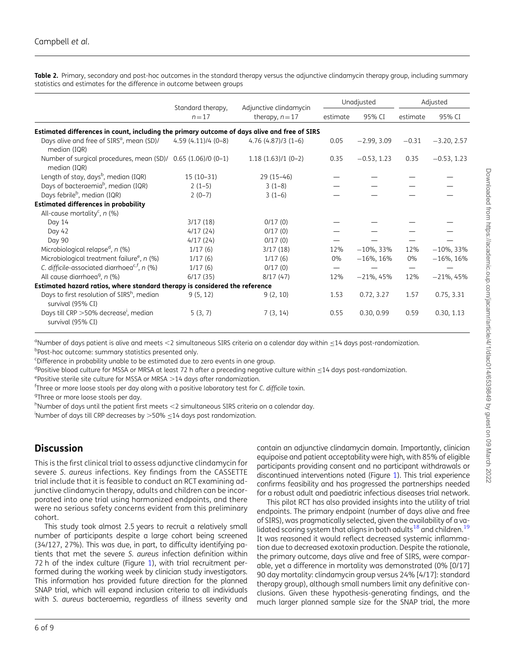<span id="page-5-0"></span>Table 2. Primary, secondary and post-hoc outcomes in the standard therapy versus the adjunctive clindamycin therapy group, including summary statistics and estimates for the difference in outcome between groups

|                                                                                              |                               | Adjunctive clindamycin |          | Unadjusted    | Adjusted |               |
|----------------------------------------------------------------------------------------------|-------------------------------|------------------------|----------|---------------|----------|---------------|
|                                                                                              | Standard therapy,<br>$n = 17$ | therapy, $n = 17$      | estimate | 95% CI        | estimate | 95% CI        |
| Estimated differences in count, including the primary outcome of days alive and free of SIRS |                               |                        |          |               |          |               |
| Days alive and free of SIRS <sup>a</sup> , mean (SD)/<br>median (IQR)                        | $4.59(4.11)/4(0-8)$           | $4.76(4.87)/3(1-6)$    | 0.05     | $-2.99, 3.09$ | $-0.31$  | $-3.20, 2.57$ |
| Number of surgical procedures, mean (SD)/ 0.65 (1.06)/0 (0-1)<br>median (IQR)                |                               | $1.18(1.63)/1(0-2)$    | 0.35     | $-0.53, 1.23$ | 0.35     | $-0.53, 1.23$ |
| Length of stay, days <sup>b</sup> , median (IQR)                                             | $15(10-31)$                   | $29(15-46)$            |          |               |          |               |
| Days of bacteraemia <sup>b</sup> , median (IQR)                                              | $2(1-5)$                      | $3(1-8)$               |          |               |          |               |
| Days febrile <sup>b</sup> , median (IQR)                                                     | $2(0-7)$                      | $3(1-6)$               |          |               |          |               |
| <b>Estimated differences in probability</b>                                                  |                               |                        |          |               |          |               |
| All-cause mortality <sup>c</sup> , $n$ (%)                                                   |                               |                        |          |               |          |               |
| Day 14                                                                                       | 3/17(18)                      | 0/17(0)                |          |               |          |               |
| Day 42                                                                                       | 4/17(24)                      | 0/17(0)                |          |               |          |               |
| Day 90                                                                                       | 4/17(24)                      | 0/17(0)                |          |               |          |               |
| Microbiological relapse <sup>d</sup> , $n$ (%)                                               | 1/17(6)                       | 3/17(18)               | 12%      | $-10\%$ , 33% | 12%      | $-10\%$ , 33% |
| Microbiological treatment failure <sup>e</sup> , n (%)                                       | 1/17(6)                       | 1/17(6)                | $0\%$    | $-16\%$ , 16% | $0\%$    | $-16\%$ , 16% |
| C. difficile-associated diarrhoea <sup>c, f</sup> , n $(\%)$                                 | 1/17(6)                       | 0/17(0)                |          |               |          |               |
| All cause diarrhoea <sup>9</sup> , n (%)                                                     | 6/17(35)                      | 8/17(47)               | 12%      | $-21\%$ , 45% | 12%      | $-21\%$ , 45% |
| Estimated hazard ratios, where standard therapy is considered the reference                  |                               |                        |          |               |          |               |
| Days to first resolution of SIRS <sup>h</sup> , median<br>survival (95% CI)                  | 9(5, 12)                      | 9(2, 10)               | 1.53     | 0.72, 3.27    | 1.57     | 0.75, 3.31    |
| Days till CRP > 50% decrease <sup>i</sup> , median<br>survival (95% CI)                      | 5(3, 7)                       | 7(3, 14)               | 0.55     | 0.30, 0.99    | 0.59     | 0.30, 1.13    |

<sup>a</sup>Number of days patient is alive and meets <2 simultaneous SIRS criteria on a calendar day within ≤14 days post-randomization.<br><sup>bp</sup>ost-bos autcome: summary statistics presented only. bpost-hoc outcome: summary statistics presented only.

c Difference in probability unable to be estimated due to zero events in one group.

<sup>d</sup>Positive blood culture for MSSA or MRSA at least 72 h after a preceding negative culture within ≤14 days post-randomization.<br><sup>ep</sup>ositive sterile site culture for MSSA or MPSA >14 days after randomization.

 $e$ Positive sterile site culture for MSSA or MRSA  $>$ 14 days after randomization.

<sup>f</sup>Three or more loose stools per day along with a positive laboratory test for C. difficile toxin.

<sup>9</sup>Three or more loose stools per day.

 $^{\text{h}}$ Number of days until the patient first meets  $<$ 2 simultaneous SIRS criteria on a calendar day.

 $\frac{1}{1}$ Number of days till CRP decreases by  $>$ 50%  $\leq$ 14 days post randomization.

# **Discussion**

This is the first clinical trial to assess adjunctive clindamycin for severe S. aureus infections. Key findings from the CASSETTE trial include that it is feasible to conduct an RCT examining adjunctive clindamycin therapy, adults and children can be incorporated into one trial using harmonized endpoints, and there were no serious safety concerns evident from this preliminary cohort.

This study took almost 2.5 years to recruit a relatively small number of participants despite a large cohort being screened (34/127, 27%). This was due, in part, to difficulty identifying patients that met the severe S. aureus infection definition within 72 h of the index culture (Figure [1](#page-2-0)), with trial recruitment performed during the working week by clinician study investigators. This information has provided future direction for the planned SNAP trial, which will expand inclusion criteria to all individuals with S. aureus bacteraemia, regardless of illness severity and contain an adjunctive clindamycin domain. Importantly, clinician equipoise and patient acceptability were high, with 85% of eligible participants providing consent and no participant withdrawals or discontinued interventions noted (Figure [1\)](#page-2-0). This trial experience confirms feasibility and has progressed the partnerships needed for a robust adult and paediatric infectious diseases trial network.

<span id="page-5-1"></span>This pilot RCT has also provided insights into the utility of trial endpoints. The primary endpoint (number of days alive and free of SIRS), was pragmatically selected, given the availability of a validated scoring system that aligns in both adults $^{18}$  $^{18}$  $^{18}$  and children.<sup>19</sup> It was reasoned it would reflect decreased systemic inflammation due to decreased exotoxin production. Despite the rationale, the primary outcome, days alive and free of SIRS, were comparable, yet a difference in mortality was demonstrated (0% [0/17] 90 day mortality: clindamycin group versus 24% [4/17]: standard therapy group), although small numbers limit any definitive conclusions. Given these hypothesis-generating findings, and the much larger planned sample size for the SNAP trial, the more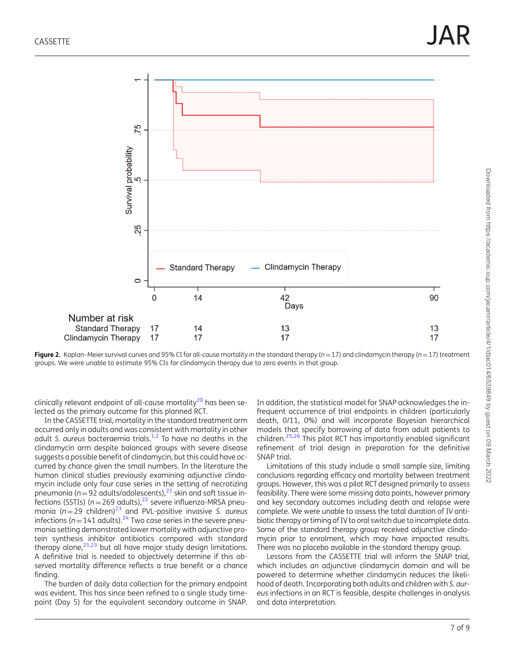<span id="page-6-0"></span>

Figure 2. Kaplan–Meier survival curves and 95% CI for all-cause mortality in the standard therapy ( $n=17$ ) and clindamycin therapy ( $n=17$ ) treatment groups. We were unable to estimate 95% CIs for clindamycin therapy due to zero events in that group.

<span id="page-6-1"></span>clinically relevant endpoint of all-cause mortality<sup>[20](#page-7-0)</sup> has been selected as the primary outcome for this planned RCT.

<span id="page-6-3"></span>In the CASSETTE trial, mortality in the standard treatment arm occurred only in adults and was consistent with mortality in other adult S. aureus bacteraemia trials.<sup>[1](#page-7-0),[2](#page-7-0)</sup> To have no deaths in the clindamycin arm despite balanced groups with severe disease suggests a possible benefit of clindamycin, but this could have occurred by chance given the small numbers. In the literature the human clinical studies previously examining adjunctive clindamycin include only four case series in the setting of necrotizing pneumonia ( $n=92$  adults/adolescents), $^{21}$  $^{21}$  $^{21}$  skin and soft tissue infections (SSTIs) ( $n=269$  adults),<sup>22</sup> severe influenza-MRSA pneumonia ( $n=29$  children)<sup>[23](#page-8-0)</sup> and PVL-positive invasive S. aureus infections ( $n=141$  adults).<sup>[24](#page-8-0)</sup> Two case series in the severe pneumonia setting demonstrated lower mortality with adjunctive protein synthesis inhibitor antibiotics compared with standard therapy alone,  $21,23$  $21,23$  but all have major study design limitations. A definitive trial is needed to objectively determine if this observed mortality difference reflects a true benefit or a chance finding.

<span id="page-6-4"></span><span id="page-6-2"></span>The burden of daily data collection for the primary endpoint was evident. This has since been refined to a single study timepoint (Day 5) for the equivalent secondary outcome in SNAP. <span id="page-6-5"></span>In addition, the statistical model for SNAP acknowledges the infrequent occurrence of trial endpoints in children (particularly death, 0/11, 0%) and will incorporate Bayesian hierarchical models that specify borrowing of data from adult patients to children.[25,26](#page-8-0) This pilot RCT has importantly enabled significant refinement of trial design in preparation for the definitive SNAP trial.

Limitations of this study include a small sample size, limiting conclusions regarding efficacy and mortality between treatment groups. However, this was a pilot RCT designed primarily to assess feasibility. There were some missing data points, however primary and key secondary outcomes including death and relapse were complete. We were unable to assess the total duration of IV antibiotic therapy or timing of IV to oral switch due to incomplete data. Some of the standard therapy group received adjunctive clindamycin prior to enrolment, which may have impacted results. There was no placebo available in the standard therapy group.

Lessons from the CASSETTE trial will inform the SNAP trial, which includes an adjunctive clindamycin domain and will be powered to determine whether clindamycin reduces the likelihood of death. Incorporating both adults and children with S. aureus infections in an RCT is feasible, despite challenges in analysis and data interpretation.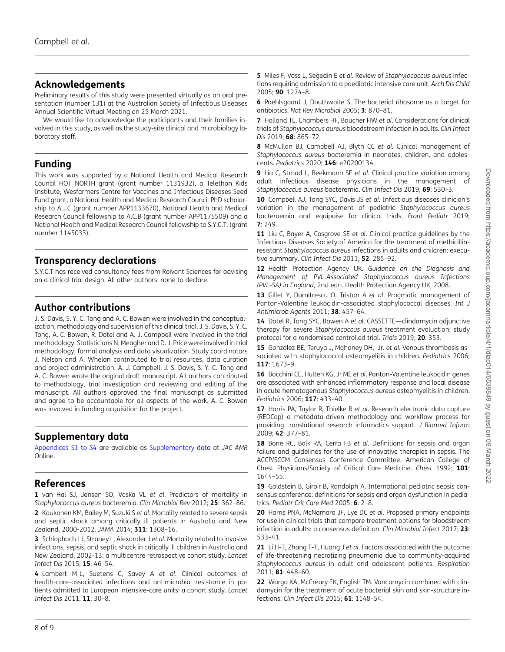## <span id="page-7-0"></span>Acknowledgements

Preliminary results of this study were presented virtually as an oral presentation (number 131) at the Australian Society of Infectious Diseases Annual Scientific Virtual Meeting on 25 March 2021.

We would like to acknowledge the participants and their families involved in this study, as well as the study-site clinical and microbiology laboratory staff.

### Funding

This work was supported by a National Health and Medical Research Council HOT NORTH grant (grant number 1131932), a Telethon Kids Institute, Wesfarmers Centre for Vaccines and Infectious Diseases Seed Fund grant, a National Health and Medical Research Council PhD scholarship to A.J.C (grant number APP1133670), National Health and Medical Research Council fellowship to A.C.B (grant number APP1175509) and a National Health and Medical Research Council fellowship to S.Y.C.T. (grant number 1145033).

# Transparency declarations

S.Y.C.T has received consultancy fees from Roivant Sciences for advising on a clinical trial design. All other authors: none to declare.

### Author contributions

J. S. Davis, S. Y. C. Tong and A. C. Bowen were involved in the conceptualization, methodology and supervision of this clinical trial. J. S. Davis, S. Y. C. Tong, A. C. Bowen, R. Dotel and A. J. Campbell were involved in the trial methodology. Statisticians N. Meagher and D. J. Price were involved in trial methodology, formal analysis and data visualization. Study coordinators J. Nelson and A. Whelan contributed to trial resources, data curation and project administration. A. J. Campbell, J. S. Davis, S. Y. C. Tong and A. C. Bowen wrote the original draft manuscript. All authors contributed to methodology, trial investigation and reviewing and editing of the manuscript. All authors approved the final manuscript as submitted and agree to be accountable for all aspects of the work. A. C. Bowen was involved in funding acquisition for the project.

# Supplementary data

[Appendices S1 to S4](http://academic.oup.com/jacamr/article-lookup/doi/10.1093/jacamr/dlac014#supplementary-data) are available as [Supplementary data](http://academic.oup.com/jacamr/article-lookup/doi/10.1093/jacamr/dlac014#supplementary-data) at JAC-AMR Online.

# References

[1](#page-1-0) van Hal SJ, Jensen SO, Vaska VL et al. Predictors of mortality in Staphylococcus aureus bacteremia. Clin Microbiol Rev 2012; 25: 362–86.

[2](#page-1-1) Kaukonen KM, Bailey M, Suzuki S et al. Mortality related to severe sepsis and septic shock among critically ill patients in Australia and New Zealand, 2000-2012. JAMA 2014; 311: 1308–16.

[3](#page-1-1) Schlapbach LJ, Straney L, Alexander J et al. Mortality related to invasive infections, sepsis, and septic shock in critically ill children in Australia and New Zealand, 2002-13: a multicentre retrospective cohort study. Lancet Infect Dis 2015; 15: 46–54.

[4](#page-1-2) Lambert M-L, Suetens C, Savey A et al. Clinical outcomes of health-care-associated infections and antimicrobial resistance in patients admitted to European intensive-care units: a cohort study. Lancet Infect Dis 2011; 11: 30–8.

[5](#page-1-3) Miles F, Voss L, Segedin E et al. Review of Staphylococcus aureus infections requiring admission to a paediatric intensive care unit. Arch Dis Child 2005; 90: 1274–8.

[6](#page-1-4) Poehlsgaard J, Douthwaite S. The bacterial ribosome as a target for antibiotics. Nat Rev Microbiol 2005; 3: 870–81.

[7](#page-1-5) Holland TL, Chambers HF, Boucher HW et al. Considerations for clinical trials of Staphylococcus aureus bloodstream infection in adults. Clin Infect Dis 2019; 68: 865–72.

[8](#page-1-6) McMullan BJ, Campbell AJ, Blyth CC et al. Clinical management of Staphylococcus aureus bacteremia in neonates, children, and adolescents. Pediatrics 2020; 146: e20200134.

[9](#page-1-7) Liu C, Strnad L, Beekmann SE et al. Clinical practice variation among adult infectious disease physicians in the management of Staphylococcus aureus bacteremia. Clin Infect Dis 2019; 69: 530–3.

[10](#page-1-8) Campbell AJ, Tong SYC, Davis JS et al. Infectious diseases clinician's variation in the management of pediatric Staphylococcus aureus bacteraemia and equipoise for clinical trials. Front Pediatr 2019; 7: 249.

[11](#page-1-9) Liu C, Bayer A, Cosgrove SE et al. Clinical practice guidelines by the Infectious Diseases Society of America for the treatment of methicillinresistant Staphylococcus aureus infections in adults and children: executive summary. Clin Infect Dis 2011; 52: 285-92.

[12](#page-1-9) Health Protection Agency UK. Guidance on the Diagnosis and Management of PVL-Associated Staphylococcus aureus Infections (PVL-SA) in England, 2nd edn. Health Protection Agency UK, 2008.

[13](#page-1-9) Gillet Y, Dumitrescu O, Tristan A et al. Pragmatic management of Panton-Valentine leukocidin-associated staphylococcal diseases. Int J Antimicrob Agents 2011; 38: 457–64.

[14](#page-1-10) Dotel R, Tong SYC, Bowen A et al. CASSETTE-clindamycin adjunctive therapy for severe Staphylococcus aureus treatment evaluation: study protocol for a randomised controlled trial. Trials 2019; 20: 353.

[15](#page-1-11) Gonzalez BE, Teruya J, Mahoney DH, Jr. et al. Venous thrombosis associated with staphylococcal osteomyelitis in children. Pediatrics 2006; 117: 1673–9.

[16](#page-1-11) Bocchini CE, Hulten KG, Jr ME et al. Panton-Valentine leukocidin genes are associated with enhanced inflammatory response and local disease in acute hematogenous Staphylococcus aureus osteomyelitis in children. Pediatrics 2006; 117: 433–40.

[17](#page-2-1) Harris PA, Taylor R, Thielke R et al. Research electronic data capture (REDCap)–a metadata-driven methodology and workflow process for providing translational research informatics support. J Biomed Inform 2009; 42: 377–81.

[18](#page-5-1) Bone RC, Balk RA, Cerra FB et al. Definitions for sepsis and organ failure and guidelines for the use of innovative therapies in sepsis. The ACCP/SCCM Consensus Conference Committee. American College of Chest Physicians/Society of Critical Care Medicine. Chest 1992; 101: 1644–55.

[19](#page-5-1) Goldstein B, Giroir B, Randolph A. International pediatric sepsis consensus conference: definitions for sepsis and organ dysfunction in pediatrics. Pediatr Crit Care Med 2005; 6: 2-8.

[20](#page-6-1) Harris PNA, McNamara JF, Lye DC et al. Proposed primary endpoints for use in clinical trials that compare treatment options for bloodstream infection in adults: a consensus definition. Clin Microbiol Infect 2017; 23: 533–41.

[21](#page-6-2) Li H-T, Zhang T-T, Huang J et al. Factors associated with the outcome of life-threatening necrotizing pneumonia due to community-acquired Staphylococcus aureus in adult and adolescent patients. Respiration 2011; 81: 448–60.

[22](#page-6-3) Wargo KA, McCreary EK, English TM. Vancomycin combined with clindamycin for the treatment of acute bacterial skin and skin-structure infections. Clin Infect Dis 2015; 61: 1148–54.